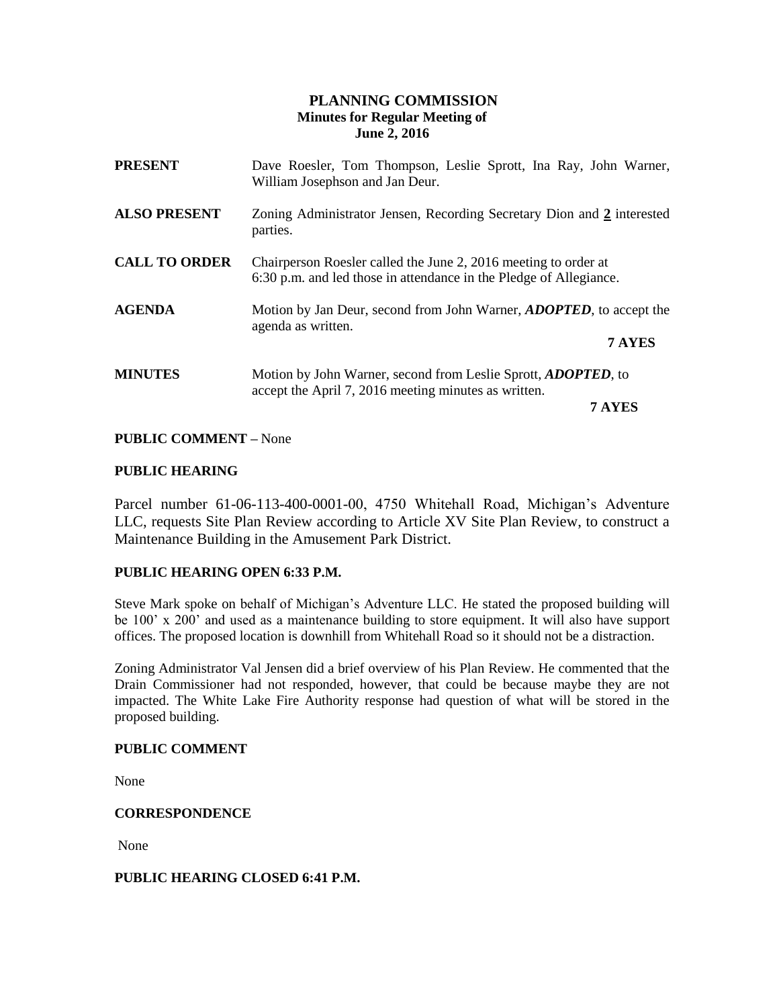# **PLANNING COMMISSION Minutes for Regular Meeting of June 2, 2016**

| <b>PRESENT</b>       | Dave Roesler, Tom Thompson, Leslie Sprott, Ina Ray, John Warner,<br>William Josephson and Jan Deur.                                     |  |
|----------------------|-----------------------------------------------------------------------------------------------------------------------------------------|--|
| <b>ALSO PRESENT</b>  | Zoning Administrator Jensen, Recording Secretary Dion and 2 interested<br>parties.                                                      |  |
| <b>CALL TO ORDER</b> | Chairperson Roesler called the June 2, 2016 meeting to order at<br>6:30 p.m. and led those in attendance in the Pledge of Allegiance.   |  |
| <b>AGENDA</b>        | Motion by Jan Deur, second from John Warner, <i>ADOPTED</i> , to accept the<br>agenda as written.<br>7 AYES                             |  |
| <b>MINUTES</b>       | Motion by John Warner, second from Leslie Sprott, <i>ADOPTED</i> , to<br>accept the April 7, 2016 meeting minutes as written.<br>7 AYES |  |

### **PUBLIC COMMENT –** None

### **PUBLIC HEARING**

Parcel number 61-06-113-400-0001-00, 4750 Whitehall Road, Michigan's Adventure LLC, requests Site Plan Review according to Article XV Site Plan Review, to construct a Maintenance Building in the Amusement Park District.

#### **PUBLIC HEARING OPEN 6:33 P.M.**

Steve Mark spoke on behalf of Michigan's Adventure LLC. He stated the proposed building will be 100' x 200' and used as a maintenance building to store equipment. It will also have support offices. The proposed location is downhill from Whitehall Road so it should not be a distraction.

Zoning Administrator Val Jensen did a brief overview of his Plan Review. He commented that the Drain Commissioner had not responded, however, that could be because maybe they are not impacted. The White Lake Fire Authority response had question of what will be stored in the proposed building.

#### **PUBLIC COMMENT**

None

# **CORRESPONDENCE**

None

### **PUBLIC HEARING CLOSED 6:41 P.M.**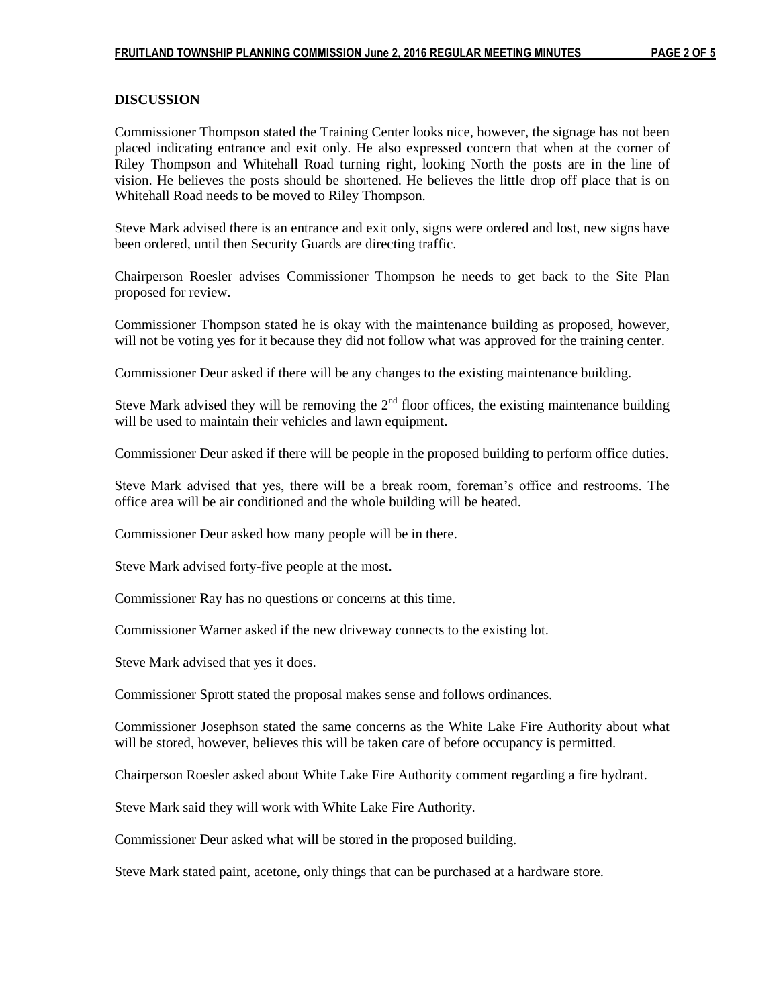### **DISCUSSION**

Commissioner Thompson stated the Training Center looks nice, however, the signage has not been placed indicating entrance and exit only. He also expressed concern that when at the corner of Riley Thompson and Whitehall Road turning right, looking North the posts are in the line of vision. He believes the posts should be shortened. He believes the little drop off place that is on Whitehall Road needs to be moved to Riley Thompson.

Steve Mark advised there is an entrance and exit only, signs were ordered and lost, new signs have been ordered, until then Security Guards are directing traffic.

Chairperson Roesler advises Commissioner Thompson he needs to get back to the Site Plan proposed for review.

Commissioner Thompson stated he is okay with the maintenance building as proposed, however, will not be voting yes for it because they did not follow what was approved for the training center.

Commissioner Deur asked if there will be any changes to the existing maintenance building.

Steve Mark advised they will be removing the  $2<sup>nd</sup>$  floor offices, the existing maintenance building will be used to maintain their vehicles and lawn equipment.

Commissioner Deur asked if there will be people in the proposed building to perform office duties.

Steve Mark advised that yes, there will be a break room, foreman's office and restrooms. The office area will be air conditioned and the whole building will be heated.

Commissioner Deur asked how many people will be in there.

Steve Mark advised forty-five people at the most.

Commissioner Ray has no questions or concerns at this time.

Commissioner Warner asked if the new driveway connects to the existing lot.

Steve Mark advised that yes it does.

Commissioner Sprott stated the proposal makes sense and follows ordinances.

Commissioner Josephson stated the same concerns as the White Lake Fire Authority about what will be stored, however, believes this will be taken care of before occupancy is permitted.

Chairperson Roesler asked about White Lake Fire Authority comment regarding a fire hydrant.

Steve Mark said they will work with White Lake Fire Authority.

Commissioner Deur asked what will be stored in the proposed building.

Steve Mark stated paint, acetone, only things that can be purchased at a hardware store.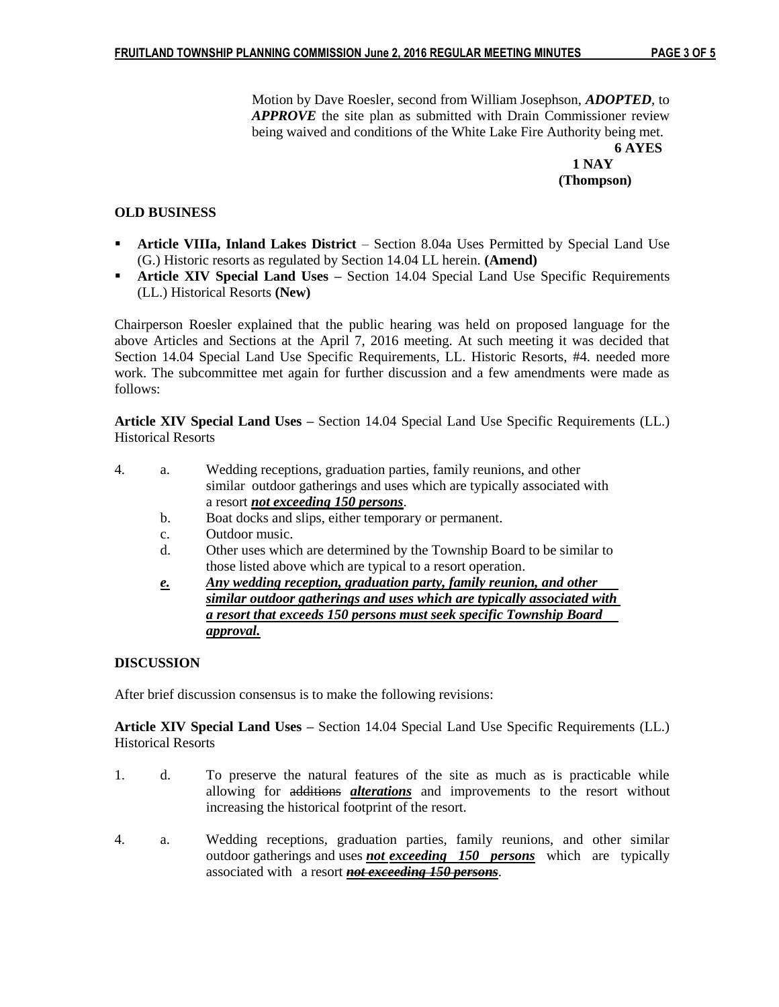Motion by Dave Roesler, second from William Josephson, *ADOPTED*, to *APPROVE* the site plan as submitted with Drain Commissioner review being waived and conditions of the White Lake Fire Authority being met.

 **6 AYES 1 NAY (Thompson)**

# **OLD BUSINESS**

- **Article VIIIa, Inland Lakes District** Section 8.04a Uses Permitted by Special Land Use (G.) Historic resorts as regulated by Section 14.04 LL herein. **(Amend)**
- **Article XIV Special Land Uses –** Section 14.04 Special Land Use Specific Requirements (LL.) Historical Resorts **(New)**

Chairperson Roesler explained that the public hearing was held on proposed language for the above Articles and Sections at the April 7, 2016 meeting. At such meeting it was decided that Section 14.04 Special Land Use Specific Requirements, LL. Historic Resorts, #4. needed more work. The subcommittee met again for further discussion and a few amendments were made as follows:

**Article XIV Special Land Uses –** Section 14.04 Special Land Use Specific Requirements (LL.) Historical Resorts

| 4. | a.             | Wedding receptions, graduation parties, family reunions, and other      |
|----|----------------|-------------------------------------------------------------------------|
|    |                | similar outdoor gatherings and uses which are typically associated with |
|    |                | a resort not exceeding 150 persons.                                     |
|    | $\mathbf{b}$ . | Boat docks and slips, either temporary or permanent.                    |
|    | $\mathbf{c}$ . | Outdoor music.                                                          |
|    | d.             | Other uses which are determined by the Township Board to be similar to  |
|    |                | those listed above which are typical to a resort operation.             |
|    | е.             | Any wedding reception, graduation party, family reunion, and other      |
|    |                | similar outdoor gatherings and uses which are typically associated with |
|    |                | a resort that exceeds 150 persons must seek specific Township Board     |
|    |                | <i>approval.</i>                                                        |
|    |                |                                                                         |

# **DISCUSSION**

After brief discussion consensus is to make the following revisions:

**Article XIV Special Land Uses –** Section 14.04 Special Land Use Specific Requirements (LL.) Historical Resorts

- 1. d. To preserve the natural features of the site as much as is practicable while allowing for additions *alterations* and improvements to the resort without increasing the historical footprint of the resort.
- 4. a. Wedding receptions, graduation parties, family reunions, and other similar outdoor gatherings and uses *not exceeding 150 persons* which are typically associated with a resort *not exceeding 150 persons*.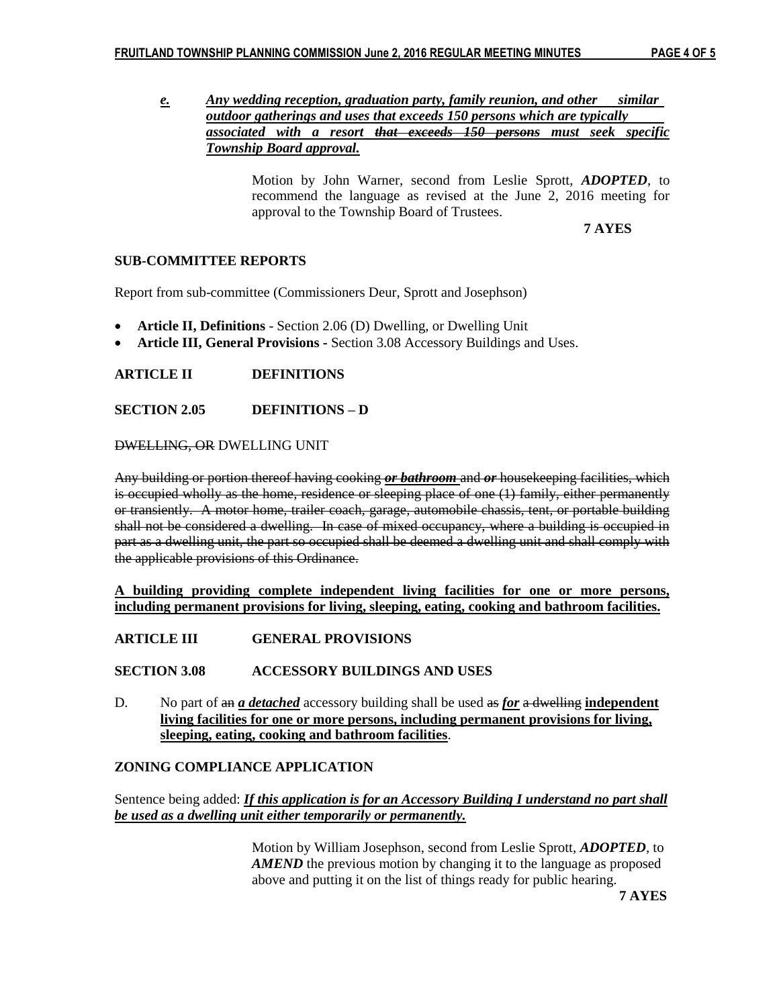# *e. Any wedding reception, graduation party, family reunion, and other similar outdoor gatherings and uses that exceeds 150 persons which are typically associated with a resort that exceeds 150 persons must seek specific Township Board approval.*

Motion by John Warner, second from Leslie Sprott, *ADOPTED*, to recommend the language as revised at the June 2, 2016 meeting for approval to the Township Board of Trustees.

 **7 AYES**

# **SUB-COMMITTEE REPORTS**

Report from sub-committee (Commissioners Deur, Sprott and Josephson)

- **Article II, Definitions** Section 2.06 (D) Dwelling, or Dwelling Unit
- **Article III, General Provisions -** Section 3.08 Accessory Buildings and Uses.

**ARTICLE II DEFINITIONS**

**SECTION 2.05 DEFINITIONS – D**

DWELLING, OR DWELLING UNIT

Any building or portion thereof having cooking *or bathroom* and *or* housekeeping facilities, which is occupied wholly as the home, residence or sleeping place of one (1) family, either permanently or transiently. A motor home, trailer coach, garage, automobile chassis, tent, or portable building shall not be considered a dwelling. In case of mixed occupancy, where a building is occupied in part as a dwelling unit, the part so occupied shall be deemed a dwelling unit and shall comply with the applicable provisions of this Ordinance.

**A building providing complete independent living facilities for one or more persons, including permanent provisions for living, sleeping, eating, cooking and bathroom facilities.**

**ARTICLE III GENERAL PROVISIONS**

**SECTION 3.08 ACCESSORY BUILDINGS AND USES**

D. No part of an *a detached* accessory building shall be used as *for* a dwelling **independent living facilities for one or more persons, including permanent provisions for living, sleeping, eating, cooking and bathroom facilities**.

#### **ZONING COMPLIANCE APPLICATION**

Sentence being added: *If this application is for an Accessory Building I understand no part shall be used as a dwelling unit either temporarily or permanently.*

> Motion by William Josephson, second from Leslie Sprott, *ADOPTED*, to AMEND the previous motion by changing it to the language as proposed above and putting it on the list of things ready for public hearing.

> **7 AYES**